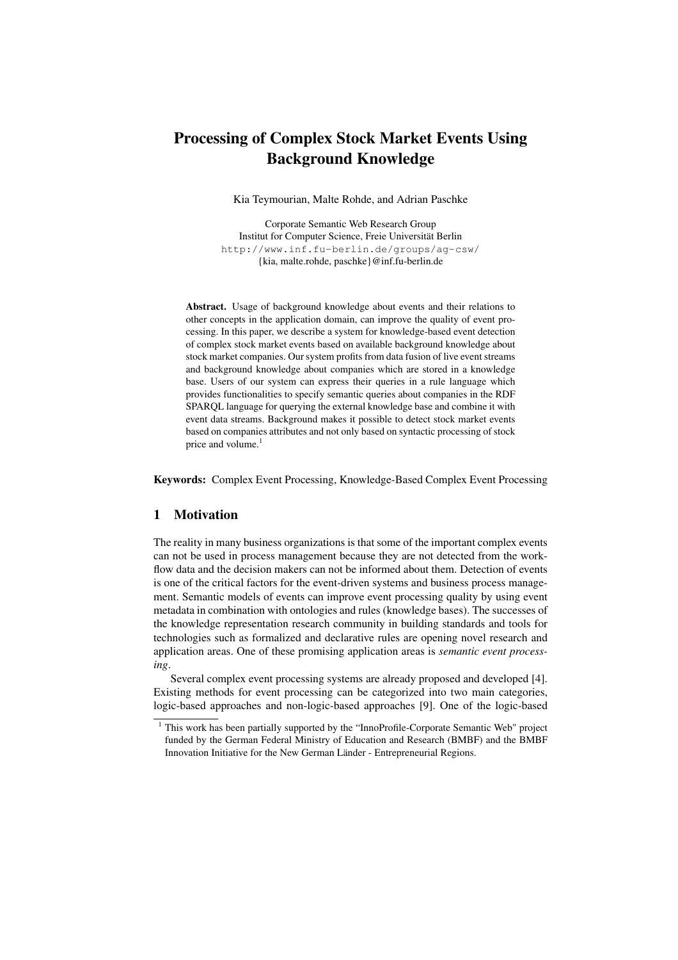# Processing of Complex Stock Market Events Using Background Knowledge

Kia Teymourian, Malte Rohde, and Adrian Paschke

Corporate Semantic Web Research Group Institut for Computer Science, Freie Universität Berlin http://www.inf.fu-berlin.de/groups/ag-csw/ {kia, malte.rohde, paschke}@inf.fu-berlin.de

Abstract. Usage of background knowledge about events and their relations to other concepts in the application domain, can improve the quality of event processing. In this paper, we describe a system for knowledge-based event detection of complex stock market events based on available background knowledge about stock market companies. Our system profits from data fusion of live event streams and background knowledge about companies which are stored in a knowledge base. Users of our system can express their queries in a rule language which provides functionalities to specify semantic queries about companies in the RDF SPARQL language for querying the external knowledge base and combine it with event data streams. Background makes it possible to detect stock market events based on companies attributes and not only based on syntactic processing of stock price and volume.<sup>1</sup>

Keywords: Complex Event Processing, Knowledge-Based Complex Event Processing

### 1 Motivation

The reality in many business organizations is that some of the important complex events can not be used in process management because they are not detected from the workflow data and the decision makers can not be informed about them. Detection of events is one of the critical factors for the event-driven systems and business process management. Semantic models of events can improve event processing quality by using event metadata in combination with ontologies and rules (knowledge bases). The successes of the knowledge representation research community in building standards and tools for technologies such as formalized and declarative rules are opening novel research and application areas. One of these promising application areas is *semantic event processing*.

Several complex event processing systems are already proposed and developed [4]. Existing methods for event processing can be categorized into two main categories, logic-based approaches and non-logic-based approaches [9]. One of the logic-based

 $1$  This work has been partially supported by the "InnoProfile-Corporate Semantic Web" project funded by the German Federal Ministry of Education and Research (BMBF) and the BMBF Innovation Initiative for the New German Länder - Entrepreneurial Regions.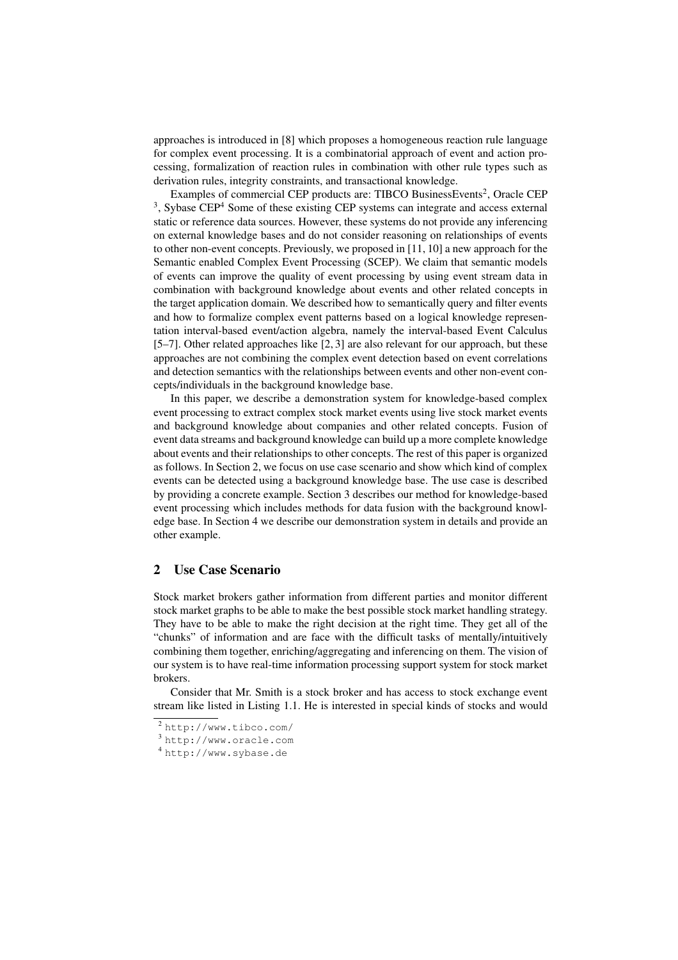approaches is introduced in [8] which proposes a homogeneous reaction rule language for complex event processing. It is a combinatorial approach of event and action processing, formalization of reaction rules in combination with other rule types such as derivation rules, integrity constraints, and transactional knowledge.

Examples of commercial CEP products are: TIBCO BusinessEvents<sup>2</sup>, Oracle CEP <sup>3</sup>. Sybase CEP<sup>4</sup> Some of these existing CEP systems can integrate and access external static or reference data sources. However, these systems do not provide any inferencing on external knowledge bases and do not consider reasoning on relationships of events to other non-event concepts. Previously, we proposed in [11, 10] a new approach for the Semantic enabled Complex Event Processing (SCEP). We claim that semantic models of events can improve the quality of event processing by using event stream data in combination with background knowledge about events and other related concepts in the target application domain. We described how to semantically query and filter events and how to formalize complex event patterns based on a logical knowledge representation interval-based event/action algebra, namely the interval-based Event Calculus [5–7]. Other related approaches like [2, 3] are also relevant for our approach, but these approaches are not combining the complex event detection based on event correlations and detection semantics with the relationships between events and other non-event concepts/individuals in the background knowledge base.

In this paper, we describe a demonstration system for knowledge-based complex event processing to extract complex stock market events using live stock market events and background knowledge about companies and other related concepts. Fusion of event data streams and background knowledge can build up a more complete knowledge about events and their relationships to other concepts. The rest of this paper is organized as follows. In Section 2, we focus on use case scenario and show which kind of complex events can be detected using a background knowledge base. The use case is described by providing a concrete example. Section 3 describes our method for knowledge-based event processing which includes methods for data fusion with the background knowledge base. In Section 4 we describe our demonstration system in details and provide an other example.

# 2 Use Case Scenario

Stock market brokers gather information from different parties and monitor different stock market graphs to be able to make the best possible stock market handling strategy. They have to be able to make the right decision at the right time. They get all of the "chunks" of information and are face with the difficult tasks of mentally/intuitively combining them together, enriching/aggregating and inferencing on them. The vision of our system is to have real-time information processing support system for stock market brokers.

Consider that Mr. Smith is a stock broker and has access to stock exchange event stream like listed in Listing 1.1. He is interested in special kinds of stocks and would

<sup>2</sup> http://www.tibco.com/

<sup>3</sup> http://www.oracle.com

<sup>4</sup> http://www.sybase.de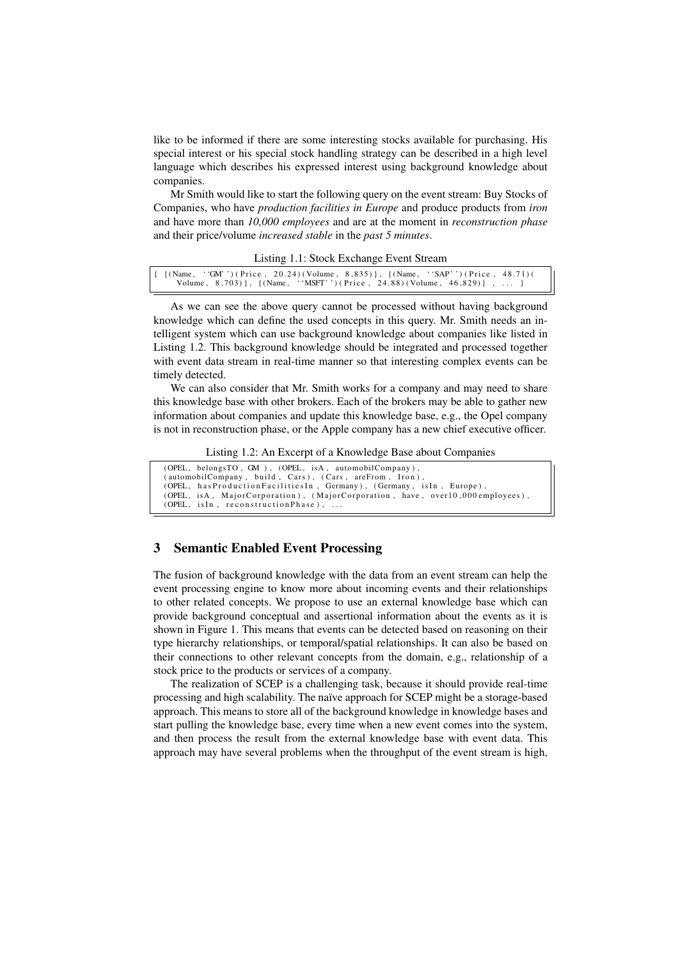like to be informed if there are some interesting stocks available for purchasing. His special interest or his special stock handling strategy can be described in a high level language which describes his expressed interest using background knowledge about companies.

Mr Smith would like to start the following query on the event stream: Buy Stocks of Companies, who have *production facilities in Europe* and produce products from *iron* and have more than *10,000 employees* and are at the moment in *reconstruction phase* and their price/volume *increased stable* in the *past 5 minutes*.

| $\{ (\text{Name}, \text{ 'GM'}') (\text{Price}, 20.24) (\text{Volume}, 8.835) \}, \{ (\text{Name}, \text{ 'SAP'}') (\text{Price}, 48.71) (\}$ |  |
|-----------------------------------------------------------------------------------------------------------------------------------------------|--|
| Volume, 8,703) }, $\{(\text{Name}, \text{ 'MSFT'}') (\text{Price}, 24.88) (\text{Volume}, 46,829)\}\$ ,  }                                    |  |

As we can see the above query cannot be processed without having background knowledge which can define the used concepts in this query. Mr. Smith needs an intelligent system which can use background knowledge about companies like listed in Listing 1.2. This background knowledge should be integrated and processed together with event data stream in real-time manner so that interesting complex events can be timely detected.

We can also consider that Mr. Smith works for a company and may need to share this knowledge base with other brokers. Each of the brokers may be able to gather new information about companies and update this knowledge base, e.g., the Opel company is not in reconstruction phase, or the Apple company has a new chief executive officer.

Listing 1.2: An Excerpt of a Knowledge Base about Companies

| (OPEL, belongsTO, $GM$ ), (OPEL, is A, automobil Company),                     |  |  |  |  |
|--------------------------------------------------------------------------------|--|--|--|--|
| (automobilCompany, build, Cars), (Cars, areFrom, Iron),                        |  |  |  |  |
| (OPEL, has Production Facilities In, Germany), (Germany, is In, Europe),       |  |  |  |  |
| (OPEL, isA, MajorCorporation), (MajorCorporation, have, over10,000 employees), |  |  |  |  |
| (OPEL, is In, reconstruction Phase),                                           |  |  |  |  |

# 3 Semantic Enabled Event Processing

The fusion of background knowledge with the data from an event stream can help the event processing engine to know more about incoming events and their relationships to other related concepts. We propose to use an external knowledge base which can provide background conceptual and assertional information about the events as it is shown in Figure 1. This means that events can be detected based on reasoning on their type hierarchy relationships, or temporal/spatial relationships. It can also be based on their connections to other relevant concepts from the domain, e.g., relationship of a stock price to the products or services of a company.

The realization of SCEP is a challenging task, because it should provide real-time processing and high scalability. The naïve approach for SCEP might be a storage-based approach. This means to store all of the background knowledge in knowledge bases and start pulling the knowledge base, every time when a new event comes into the system, and then process the result from the external knowledge base with event data. This approach may have several problems when the throughput of the event stream is high,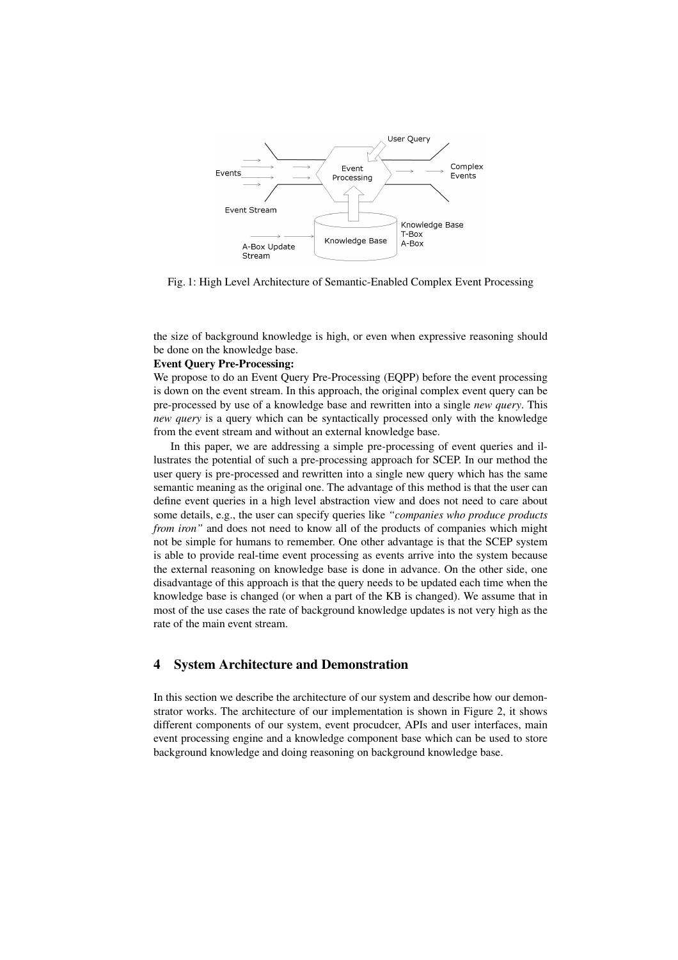

Fig. 1: High Level Architecture of Semantic-Enabled Complex Event Processing

the size of background knowledge is high, or even when expressive reasoning should be done on the knowledge base.

#### Event Query Pre-Processing:

We propose to do an Event Ouery Pre-Processing (EOPP) before the event processing is down on the event stream. In this approach, the original complex event query can be pre-processed by use of a knowledge base and rewritten into a single *new query*. This *new query* is a query which can be syntactically processed only with the knowledge from the event stream and without an external knowledge base.

In this paper, we are addressing a simple pre-processing of event queries and illustrates the potential of such a pre-processing approach for SCEP. In our method the user query is pre-processed and rewritten into a single new query which has the same semantic meaning as the original one. The advantage of this method is that the user can define event queries in a high level abstraction view and does not need to care about some details, e.g., the user can specify queries like *"companies who produce products from iron"* and does not need to know all of the products of companies which might not be simple for humans to remember. One other advantage is that the SCEP system is able to provide real-time event processing as events arrive into the system because the external reasoning on knowledge base is done in advance. On the other side, one disadvantage of this approach is that the query needs to be updated each time when the knowledge base is changed (or when a part of the KB is changed). We assume that in most of the use cases the rate of background knowledge updates is not very high as the rate of the main event stream.

## 4 System Architecture and Demonstration

In this section we describe the architecture of our system and describe how our demonstrator works. The architecture of our implementation is shown in Figure 2, it shows different components of our system, event procudcer, APIs and user interfaces, main event processing engine and a knowledge component base which can be used to store background knowledge and doing reasoning on background knowledge base.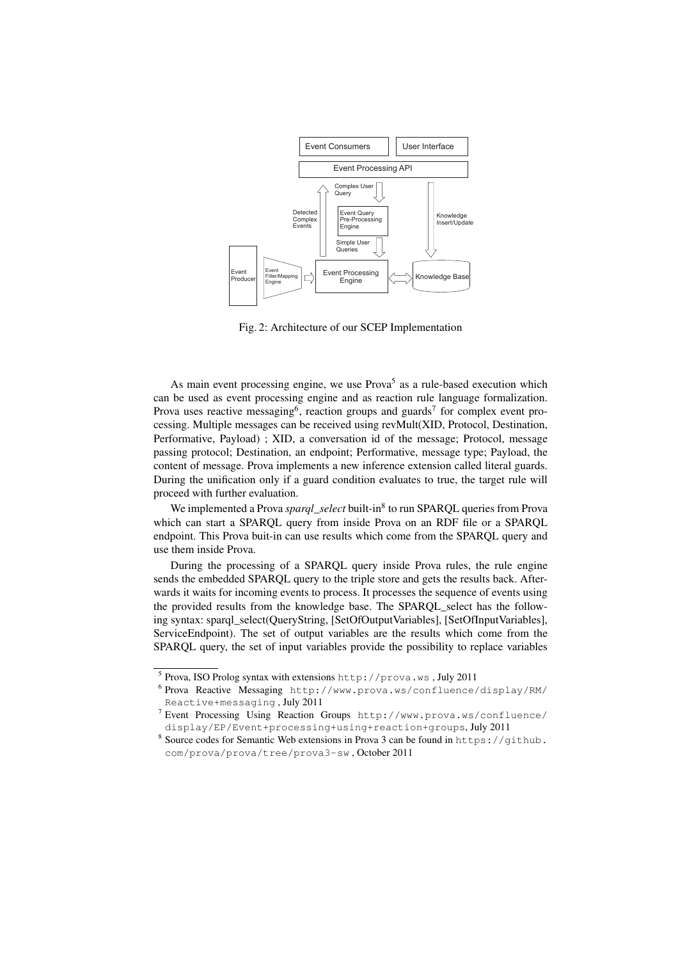

Fig. 2: Architecture of our SCEP Implementation

As main event processing engine, we use  $Prova<sup>5</sup>$  as a rule-based execution which can be used as event processing engine and as reaction rule language formalization. Prova uses reactive messaging<sup>6</sup>, reaction groups and guards<sup>7</sup> for complex event processing. Multiple messages can be received using revMult(XID, Protocol, Destination, Performative, Payload) ; XID, a conversation id of the message; Protocol, message passing protocol; Destination, an endpoint; Performative, message type; Payload, the content of message. Prova implements a new inference extension called literal guards. During the unification only if a guard condition evaluates to true, the target rule will proceed with further evaluation.

We implemented a Prova *sparql\_select* built-in<sup>8</sup> to run SPARQL queries from Prova which can start a SPARQL query from inside Prova on an RDF file or a SPARQL endpoint. This Prova buit-in can use results which come from the SPARQL query and use them inside Prova.

During the processing of a SPARQL query inside Prova rules, the rule engine sends the embedded SPARQL query to the triple store and gets the results back. Afterwards it waits for incoming events to process. It processes the sequence of events using the provided results from the knowledge base. The SPARQL\_select has the following syntax: sparql\_select(QueryString, [SetOfOutputVariables], [SetOfInputVariables], ServiceEndpoint). The set of output variables are the results which come from the SPARQL query, the set of input variables provide the possibility to replace variables

<sup>5</sup> Prova, ISO Prolog syntax with extensions http://prova.ws , July 2011

<sup>6</sup> Prova Reactive Messaging http://www.prova.ws/confluence/display/RM/ Reactive+messaging , July 2011

<sup>7</sup> Event Processing Using Reaction Groups http://www.prova.ws/confluence/ display/EP/Event+processing+using+reaction+groups, July 2011

<sup>&</sup>lt;sup>8</sup> Source codes for Semantic Web extensions in Prova 3 can be found in https://github. com/prova/prova/tree/prova3-sw , October 2011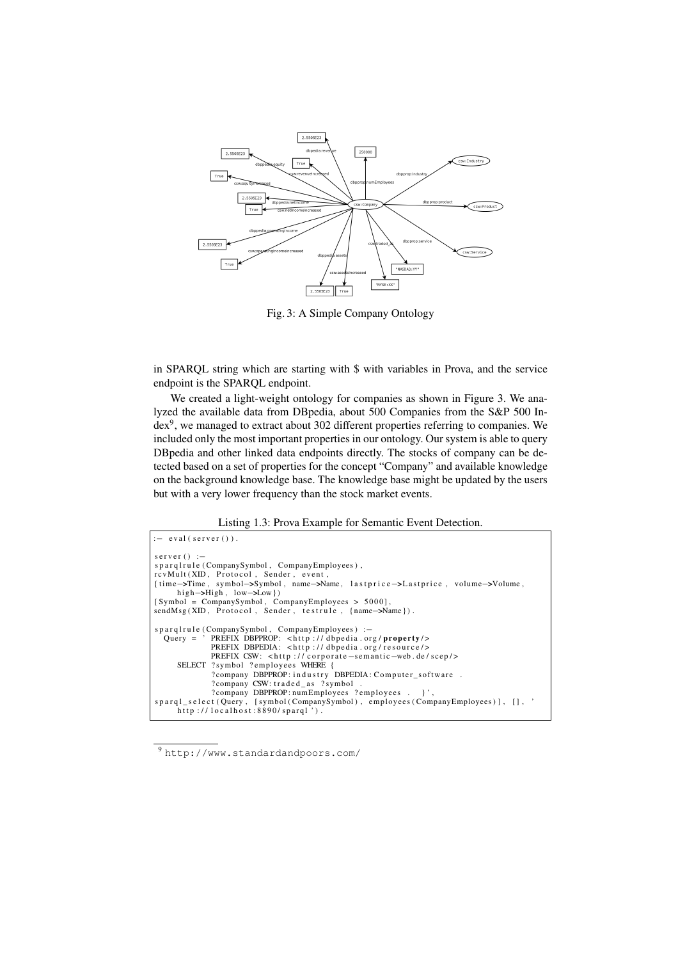

Fig. 3: A Simple Company Ontology

in SPARQL string which are starting with \$ with variables in Prova, and the service endpoint is the SPARQL endpoint.

We created a light-weight ontology for companies as shown in Figure 3. We analyzed the available data from DBpedia, about 500 Companies from the S&P 500 Index9, we managed to extract about 302 different properties referring to companies. We included only the most important properties in our ontology. Our system is able to query DBpedia and other linked data endpoints directly. The stocks of company can be detected based on a set of properties for the concept "Company" and available knowledge on the background knowledge base. The knowledge base might be updated by the users but with a very lower frequency than the stock market events.

Listing 1.3: Prova Example for Semantic Event Detection.

```
eval (server ()).
server () :-
sparqlrule (CompanySymbol, CompanyEmployees),
rcvMult(XID, Protocol, Sender, event,<br>{time->Time, symbol->Symbol, name->Name, lastprice->Lastprice, volume->Volume,
high>High , low>Low } )
[ Symbol = CompanySymbol , CompanyEmployees > 5000] ,
sendMsg (XID, Protocol, Sender, testrule, {name->Name}).
s p a r q l r ul e ( CompanySymbol , CompanyEmployees ) : - Query = ' PREFIX DBPPROP: <http://dbpedia.or
   Query = ' PREFIX DBPPROP: <http ://dbpedia.org/property/><br>PREFIX DBPEDIA: <http ://dbpedia.org/resource/>
                PREFIX CSW: \langle h(t) \rangle // corporate -semantic -web.de/scep/>
      SELECT ? symbol ? employees WHERE {
                 ? company DBPPROP: industry DBPEDIA: Computer_software .
                 ?company CSW: traded_as ?symbol .<br>?company DBPPROP: numEmployees ?employees . }',
s p a r ql _ s el e ct ( Query , [ symbol (CompanySymbol ) , employees ( CompanyEmployees ) ] , [ ] , '
      http://localhost: 8890/spargl').
```
<sup>9</sup> http://www.standardandpoors.com/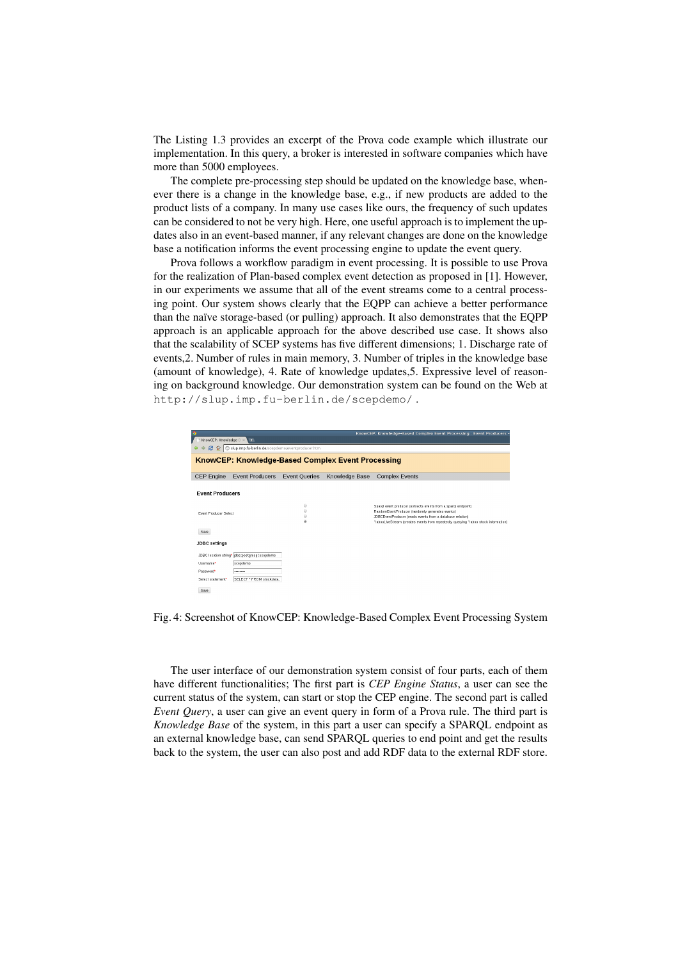The Listing 1.3 provides an excerpt of the Prova code example which illustrate our implementation. In this query, a broker is interested in software companies which have more than 5000 employees.

The complete pre-processing step should be updated on the knowledge base, whenever there is a change in the knowledge base, e.g., if new products are added to the product lists of a company. In many use cases like ours, the frequency of such updates can be considered to not be very high. Here, one useful approach is to implement the updates also in an event-based manner, if any relevant changes are done on the knowledge base a notification informs the event processing engine to update the event query.

Prova follows a workflow paradigm in event processing. It is possible to use Prova for the realization of Plan-based complex event detection as proposed in [1]. However, in our experiments we assume that all of the event streams come to a central processing point. Our system shows clearly that the EQPP can achieve a better performance than the naïve storage-based (or pulling) approach. It also demonstrates that the EQPP approach is an applicable approach for the above described use case. It shows also that the scalability of SCEP systems has five different dimensions; 1. Discharge rate of events,2. Number of rules in main memory, 3. Number of triples in the knowledge base (amount of knowledge), 4. Rate of knowledge updates,5. Expressive level of reasoning on background knowledge. Our demonstration system can be found on the Web at http://slup.imp.fu-berlin.de/scepdemo/ .

|                                                                                                             |                                               |                      |                | KnowCEP: Knowledge-Based Complex Event Processing : Event Producers -                                                                          |  |  |  |  |
|-------------------------------------------------------------------------------------------------------------|-----------------------------------------------|----------------------|----------------|------------------------------------------------------------------------------------------------------------------------------------------------|--|--|--|--|
| KnowCEP: Knowledge-B x                                                                                      | <b>NEW</b>                                    |                      |                |                                                                                                                                                |  |  |  |  |
| 2 企 © slup.imp.fu-berlin.de/scepdemo/eventproducer.htm<br>KnowCEP: Knowledge-Based Complex Event Processing |                                               |                      |                |                                                                                                                                                |  |  |  |  |
|                                                                                                             |                                               |                      |                |                                                                                                                                                |  |  |  |  |
| <b>CEP</b> Engine                                                                                           | <b>Event Producers</b>                        | <b>Event Queries</b> | Knowledge Base | <b>Complex Events</b>                                                                                                                          |  |  |  |  |
|                                                                                                             |                                               |                      |                |                                                                                                                                                |  |  |  |  |
| <b>Event Producers</b>                                                                                      |                                               |                      |                |                                                                                                                                                |  |  |  |  |
|                                                                                                             |                                               | $\odot$              |                | Spargl event producer (extracts events from a spargl endpoint)                                                                                 |  |  |  |  |
| <b>Event Producer Select</b>                                                                                |                                               | 0                    |                | RandomEventProducer (randomly generates events)                                                                                                |  |  |  |  |
|                                                                                                             |                                               | G<br>ø               |                | JDBCEventProducer (reads events from a database relation)<br>YahooLiveStream (creates events from repeatedly querying Yahoo stock information) |  |  |  |  |
| Save                                                                                                        |                                               |                      |                |                                                                                                                                                |  |  |  |  |
| <b>JDBC</b> settings                                                                                        |                                               |                      |                |                                                                                                                                                |  |  |  |  |
|                                                                                                             |                                               |                      |                |                                                                                                                                                |  |  |  |  |
|                                                                                                             | JDBC location string* dbc postgresgl scepdemo |                      |                |                                                                                                                                                |  |  |  |  |
| Usemame*                                                                                                    | scepdemo                                      |                      |                |                                                                                                                                                |  |  |  |  |
| Password*                                                                                                   |                                               |                      |                |                                                                                                                                                |  |  |  |  |
| Select statement <sup>*</sup>                                                                               | SELECT * FROM stockdata;                      |                      |                |                                                                                                                                                |  |  |  |  |
| Save                                                                                                        |                                               |                      |                |                                                                                                                                                |  |  |  |  |

Fig. 4: Screenshot of KnowCEP: Knowledge-Based Complex Event Processing System

The user interface of our demonstration system consist of four parts, each of them have different functionalities; The first part is *CEP Engine Status*, a user can see the current status of the system, can start or stop the CEP engine. The second part is called *Event Query*, a user can give an event query in form of a Prova rule. The third part is *Knowledge Base* of the system, in this part a user can specify a SPARQL endpoint as an external knowledge base, can send SPARQL queries to end point and get the results back to the system, the user can also post and add RDF data to the external RDF store.